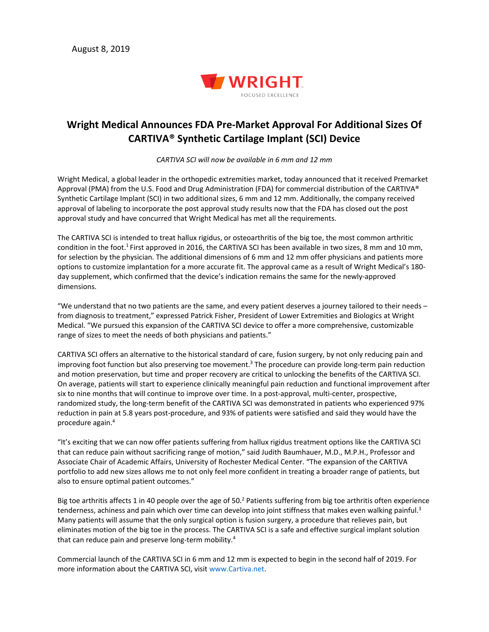

## **Wright Medical Announces FDA Pre-Market Approval For Additional Sizes Of CARTIVA® Synthetic Cartilage Implant (SCI) Device**

*CARTIVA SCI will now be available in 6 mm and 12 mm*

Wright Medical, a global leader in the orthopedic extremities market, today announced that it received Premarket Approval (PMA) from the U.S. Food and Drug Administration (FDA) for commercial distribution of the CARTIVA® Synthetic Cartilage Implant (SCI) in two additional sizes, 6 mm and 12 mm. Additionally, the company received approval of labeling to incorporate the post approval study results now that the FDA has closed out the post approval study and have concurred that Wright Medical has met all the requirements.

The CARTIVA SCI is intended to treat hallux rigidus, or osteoarthritis of the big toe, the most common arthritic condition in the foot.<sup>1</sup> First approved in 2016, the CARTIVA SCI has been available in two sizes, 8 mm and 10 mm, for selection by the physician. The additional dimensions of 6 mm and 12 mm offer physicians and patients more options to customize implantation for a more accurate fit. The approval came as a result of Wright Medical's 180 day supplement, which confirmed that the device's indication remains the same for the newly-approved dimensions.

"We understand that no two patients are the same, and every patient deserves a journey tailored to their needs – from diagnosis to treatment," expressed Patrick Fisher, President of Lower Extremities and Biologics at Wright Medical. "We pursued this expansion of the CARTIVA SCI device to offer a more comprehensive, customizable range of sizes to meet the needs of both physicians and patients."

CARTIVA SCI offers an alternative to the historical standard of care, fusion surgery, by not only reducing pain and improving foot function but also preserving toe movement.<sup>3</sup> The procedure can provide long-term pain reduction and motion preservation, but time and proper recovery are critical to unlocking the benefits of the CARTIVA SCI. On average, patients will start to experience clinically meaningful pain reduction and functional improvement after six to nine months that will continue to improve over time. In a post-approval, multi-center, prospective, randomized study, the long-term benefit of the CARTIVA SCI was demonstrated in patients who experienced 97% reduction in pain at 5.8 years post-procedure, and 93% of patients were satisfied and said they would have the procedure again. 4

"It's exciting that we can now offer patients suffering from hallux rigidus treatment options like the CARTIVA SCI that can reduce pain without sacrificing range of motion," said Judith Baumhauer, M.D., M.P.H., Professor and Associate Chair of Academic Affairs, University of Rochester Medical Center. "The expansion of the CARTIVA portfolio to add new sizes allows me to not only feel more confident in treating a broader range of patients, but also to ensure optimal patient outcomes."

Big toe arthritis affects 1 in 40 people over the age of 50.<sup>2</sup> Patients suffering from big toe arthritis often experience tenderness, achiness and pain which over time can develop into joint stiffness that makes even walking painful.<sup>3</sup> Many patients will assume that the only surgical option is fusion surgery, a procedure that relieves pain, but eliminates motion of the big toe in the process. The CARTIVA SCI is a safe and effective surgical implant solution that can reduce pain and preserve long-term mobility.<sup>4</sup>

Commercial launch of the CARTIVA SCI in 6 mm and 12 mm is expected to begin in the second half of 2019. For more information about the CARTIVA SCI, visit www.Cartiva.net.